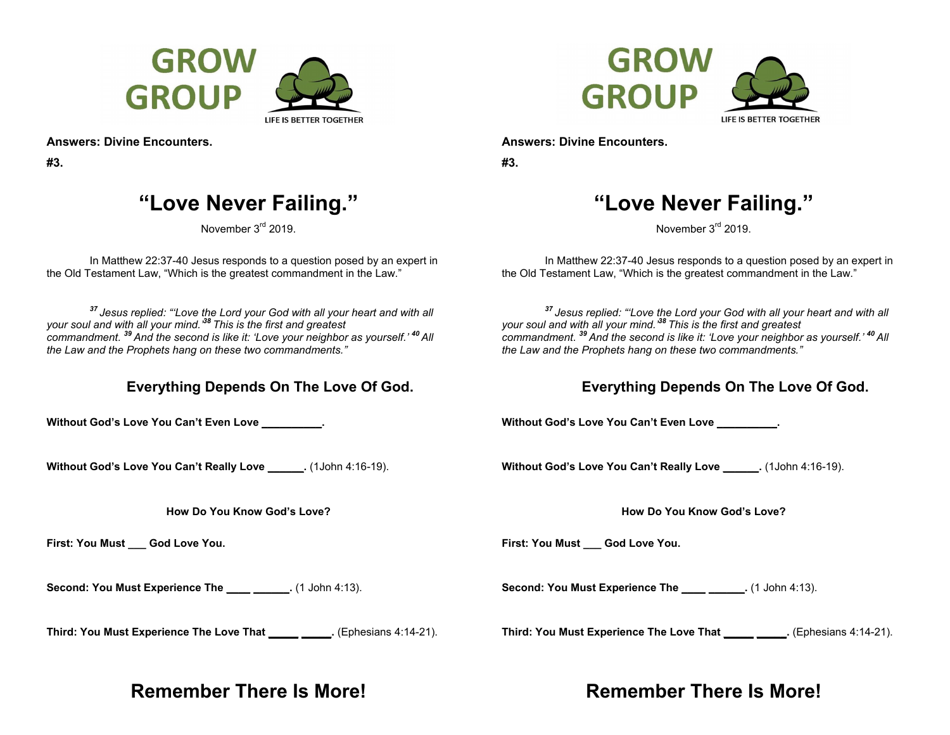



**#3.** 

# **"Love Never Failing."**

November 3<sup>rd</sup> 2019.

In Matthew 22:37-40 Jesus responds to a question posed by an expert in the Old Testament Law, "Which is the greatest commandment in the Law."

*<sup>37</sup>Jesus replied: "'Love the Lord your God with all your heart and with all your soul and with all your mind.'<sup>38</sup>This is the first and greatest commandment. <sup>39</sup>And the second is like it: 'Love your neighbor as yourself.' <sup>40</sup>All the Law and the Prophets hang on these two commandments."* 

### **Everything Depends On The Love Of God.**

**Without God's Love You Can't Even Love \_\_\_\_\_\_\_\_\_\_.** 

**Without God's Love You Can't Really Love \_\_\_\_\_\_.** (1John 4:16-19).

**How Do You Know God's Love?** 

**First: You Must \_\_\_ God Love You.** 

Second: You Must Experience The **\_\_\_\_** \_\_\_\_\_\_. (1 John 4:13).

**Third: You Must Experience The Love That \_\_\_\_\_ \_\_\_\_\_.** (Ephesians 4:14-21).

## **Remember There Is More!**



**Answers: Divine Encounters.** 

**#3.** 

# **"Love Never Failing."**

November 3<sup>rd</sup> 2019.

In Matthew 22:37-40 Jesus responds to a question posed by an expert in the Old Testament Law, "Which is the greatest commandment in the Law."

*<sup>37</sup>Jesus replied: "'Love the Lord your God with all your heart and with all your soul and with all your mind.'<sup>38</sup>This is the first and greatest commandment. <sup>39</sup>And the second is like it: 'Love your neighbor as yourself.' <sup>40</sup>All the Law and the Prophets hang on these two commandments."* 

### **Everything Depends On The Love Of God.**

**Without God's Love You Can't Even Love \_\_\_\_\_\_\_\_\_\_.** 

**Without God's Love You Can't Really Love \_\_\_\_\_\_.** (1John 4:16-19).

**How Do You Know God's Love?** 

First: You Must **God Love You.** 

**Second: You Must Experience The**   $(1$  John 4:13).

**Third: You Must Experience The Love That \_\_\_\_\_ \_\_\_\_\_.** (Ephesians 4:14-21).

# **Remember There Is More!**